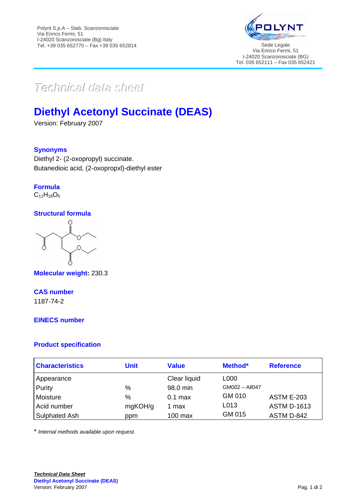

# $Techmical$  data sheett

## **Diethyl Acetonyl Succinate (DEAS)**

Version: February 2007

#### **Synonyms**

Diethyl 2- (2-oxopropyl) succinate. Butanedioic acid, (2-oxopropxl)-diethyl ester

**Formula**  $C_{11}H_{18}O_5$ 

#### **Structural formula**

 $\Omega$ Ο  $\cap$ 

**Molecular weight:** 230.3

### **CAS number**

1187-74-2

#### **EINECS number**

#### **Product specification**

| <b>Characteristics</b> | <b>Unit</b> | <b>Value</b> | Method*        | <b>Reference</b>   |
|------------------------|-------------|--------------|----------------|--------------------|
| Appearance             |             | Clear liquid | L000           |                    |
| Purity                 | $\%$        | 98.0 min     | GM002 - All047 |                    |
| Moisture               | $\%$        | $0.1$ max    | GM 010         | <b>ASTM E-203</b>  |
| Acid number            | mgKOH/g     | 1 max        | L013           | <b>ASTM D-1613</b> |
| Sulphated Ash          | ppm         | $100$ max    | GM 015         | ASTM D-842         |

\* *Internal methods available upon request.*